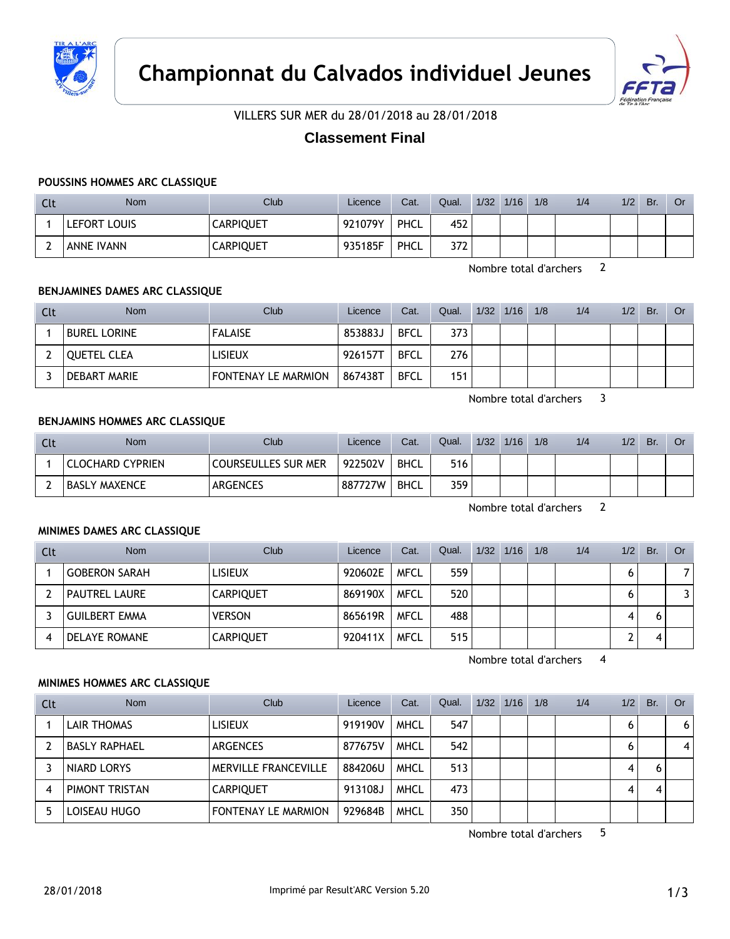



VILLERS SUR MER du 28/01/2018 au 28/01/2018

# **Classement Final**

### **POUSSINS HOMMES ARC CLASSIQUE**

| Clt    | <b>Nom</b>        | Club             | Licence | Cat.        | Qual. | 1/32 | 1/16 | 1/8 | 1/4 | 1/2 | Br. | Or |
|--------|-------------------|------------------|---------|-------------|-------|------|------|-----|-----|-----|-----|----|
|        | LEFORT LOUIS      | <b>CARPIQUET</b> | 921079Y | PHCL        | 452   |      |      |     |     |     |     |    |
| ∽<br>∸ | <b>ANNE IVANN</b> | <b>CARPIQUET</b> | 935185F | <b>PHCL</b> | 372   |      |      |     |     |     |     |    |

Nombre total d'archers 2

### **BENJAMINES DAMES ARC CLASSIQUE**

| Clt | Nom                 | Club                       | Licence | Cat.        | Qual. | $1/32$ $1/16$ | 1/8 | 1/4 | 1/2 | Br. | Or |
|-----|---------------------|----------------------------|---------|-------------|-------|---------------|-----|-----|-----|-----|----|
|     | <b>BUREL LORINE</b> | <b>FALAISE</b>             | 853883J | <b>BFCL</b> | 373   |               |     |     |     |     |    |
|     | <b>OUETEL CLEA</b>  | <b>LISIEUX</b>             | 926157T | <b>BFCL</b> | 276   |               |     |     |     |     |    |
|     | DEBART MARIE        | <b>FONTENAY LE MARMION</b> | 867438T | <b>BFCL</b> | 151   |               |     |     |     |     |    |

Nombre total d'archers 3

#### **BENJAMINS HOMMES ARC CLASSIQUE**

| Clt      | <b>Nom</b>       | <b>Club</b>                | Licence | Cat.        | Qual. | 1/32 | 1/16 | 1/8 | 1/4 | 1/2 | Br. | <b>Or</b> |
|----------|------------------|----------------------------|---------|-------------|-------|------|------|-----|-----|-----|-----|-----------|
|          | CLOCHARD CYPRIEN | <b>COURSEULLES SUR MER</b> | 922502V | <b>BHCL</b> | 516   |      |      |     |     |     |     |           |
| <u>.</u> | BASLY MAXENCE    | <b>ARGENCES</b>            | 887727W | <b>BHCL</b> | 359   |      |      |     |     |     |     |           |

Nombre total d'archers 2

#### **MINIMES DAMES ARC CLASSIQUE**

| Clt | <b>Nom</b>           | Club             | Licence | Cat.        | Qual. | 1/32 | 1/16 | 1/8 | 1/4 | 1/2 | Br. | Or             |
|-----|----------------------|------------------|---------|-------------|-------|------|------|-----|-----|-----|-----|----------------|
|     | <b>GOBERON SARAH</b> | <b>LISIEUX</b>   | 920602E | <b>MFCL</b> | 559   |      |      |     |     |     |     | $\overline{7}$ |
|     | <b>PAUTREL LAURE</b> | <b>CARPIQUET</b> | 869190X | <b>MFCL</b> | 520   |      |      |     |     |     |     | 3              |
|     | <b>GUILBERT EMMA</b> | <b>VERSON</b>    | 865619R | <b>MFCL</b> | 488   |      |      |     |     | 4   |     |                |
| 4   | DELAYE ROMANE        | <b>CARPIQUET</b> | 920411X | <b>MFCL</b> | 515   |      |      |     |     | ∽   |     |                |

Nombre total d'archers 4

#### **MINIMES HOMMES ARC CLASSIQUE**

| Clt | <b>Nom</b>           | Club                        | Licence | Cat.        | Qual. | 1/32 | 1/16 | 1/8 | 1/4 | 1/2 | Br. | Or             |
|-----|----------------------|-----------------------------|---------|-------------|-------|------|------|-----|-----|-----|-----|----------------|
|     | <b>LAIR THOMAS</b>   | <b>LISIEUX</b>              | 919190V | <b>MHCL</b> | 547   |      |      |     |     | 6   |     | 6 <sup>1</sup> |
|     | <b>BASLY RAPHAEL</b> | ARGENCES                    | 877675V | <b>MHCL</b> | 542   |      |      |     |     | 0   |     | $\vert$        |
|     | NIARD LORYS          | <b>MERVILLE FRANCEVILLE</b> | 884206U | <b>MHCL</b> | 513   |      |      |     |     | 4   |     |                |
| 4   | PIMONT TRISTAN       | <b>CARPIQUET</b>            | 913108J | <b>MHCL</b> | 473   |      |      |     |     |     |     |                |
| 5   | LOISEAU HUGO         | <b>FONTENAY LE MARMION</b>  | 929684B | <b>MHCL</b> | 350   |      |      |     |     |     |     |                |

Nombre total d'archers 5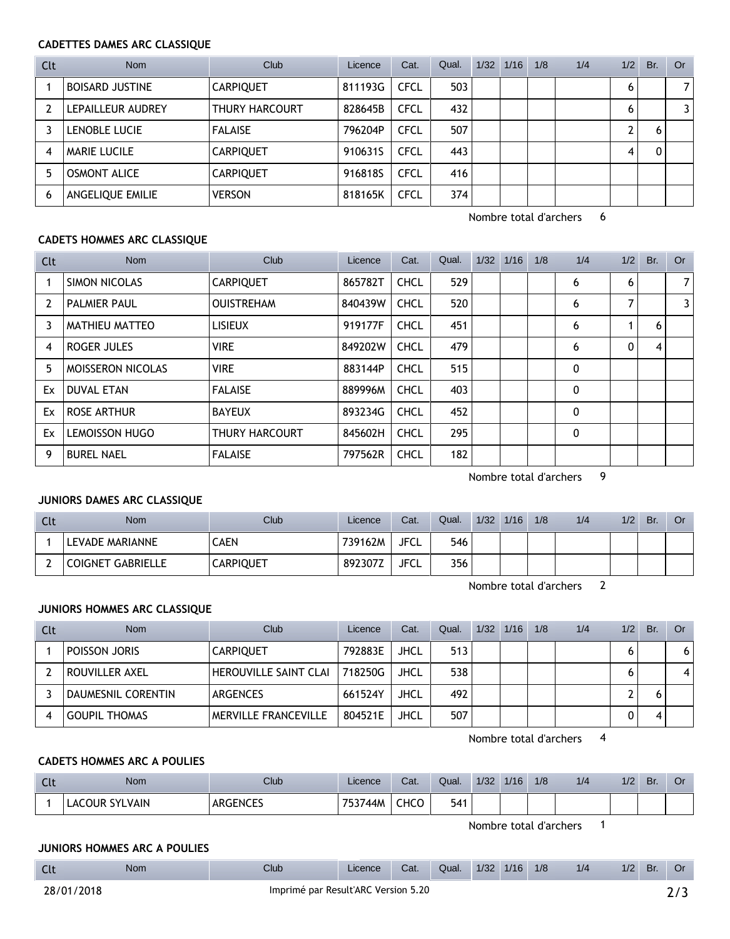### **CADETTES DAMES ARC CLASSIQUE**

| Clt | <b>Nom</b>             | Club                  | Licence | Cat.        | Qual. | $1/32$ $1/16$ | 1/8 | 1/4 | 1/2                   | Br. | Or             |
|-----|------------------------|-----------------------|---------|-------------|-------|---------------|-----|-----|-----------------------|-----|----------------|
|     | <b>BOISARD JUSTINE</b> | <b>CARPIQUET</b>      | 811193G | <b>CFCL</b> | 503   |               |     |     | 6                     |     | $\overline{7}$ |
|     | LEPAILLEUR AUDREY      | <b>THURY HARCOURT</b> | 828645B | <b>CFCL</b> | 432   |               |     |     | 6                     |     | 3              |
|     | LENOBLE LUCIE          | <b>FALAISE</b>        | 796204P | <b>CFCL</b> | 507   |               |     |     | $\mathbf{2}^{\prime}$ | 'n  |                |
| 4   | <b>MARIE LUCILE</b>    | <b>CARPIQUET</b>      | 910631S | <b>CFCL</b> | 443   |               |     |     | 4                     |     |                |
|     | <b>OSMONT ALICE</b>    | <b>CARPIQUET</b>      | 916818S | <b>CFCL</b> | 416   |               |     |     |                       |     |                |
| 6   | ANGELIQUE EMILIE       | <b>VERSON</b>         | 818165K | <b>CFCL</b> | 374   |               |     |     |                       |     |                |

Nombre total d'archers 6

### **CADETS HOMMES ARC CLASSIQUE**

| Clt            | Nom                   | Club                  | Licence | Cat.        | Qual. | 1/32 | 1/16 | 1/8 | 1/4          | 1/2 | Br. | <b>Or</b>      |
|----------------|-----------------------|-----------------------|---------|-------------|-------|------|------|-----|--------------|-----|-----|----------------|
|                | SIMON NICOLAS         | <b>CARPIQUET</b>      | 865782T | <b>CHCL</b> | 529   |      |      |     | 6            | 6   |     | 7 <sup>1</sup> |
| $\overline{2}$ | <b>PALMIER PAUL</b>   | <b>OUISTREHAM</b>     | 840439W | <b>CHCL</b> | 520   |      |      |     | 6            | 7   |     | 3 <sup>1</sup> |
| 3              | <b>MATHIEU MATTEO</b> | <b>LISIEUX</b>        | 919177F | <b>CHCL</b> | 451   |      |      |     | 6            |     | 6   |                |
| 4              | ROGER JULES           | <b>VIRE</b>           | 849202W | <b>CHCL</b> | 479   |      |      |     | 6            | 0   | 4   |                |
| 5              | MOISSERON NICOLAS     | <b>VIRE</b>           | 883144P | <b>CHCL</b> | 515   |      |      |     | $\mathbf{0}$ |     |     |                |
| Ex             | <b>DUVAL ETAN</b>     | <b>FALAISE</b>        | 889996M | <b>CHCL</b> | 403   |      |      |     | $\mathbf 0$  |     |     |                |
| Ex             | ROSE ARTHUR           | <b>BAYEUX</b>         | 893234G | <b>CHCL</b> | 452   |      |      |     | 0            |     |     |                |
| Ex             | <b>LEMOISSON HUGO</b> | <b>THURY HARCOURT</b> | 845602H | <b>CHCL</b> | 295   |      |      |     | 0            |     |     |                |
| 9              | <b>BUREL NAEL</b>     | <b>FALAISE</b>        | 797562R | <b>CHCL</b> | 182   |      |      |     |              |     |     |                |

Nombre total d'archers 9

## **JUNIORS DAMES ARC CLASSIQUE**

| Clt | <b>Nom</b>               | <b>Club</b>      | Licence | Cat.        | Qual. | 1/32 | 1/16 | 1/8 | 1/4 | 1/2 | Br. | Or |
|-----|--------------------------|------------------|---------|-------------|-------|------|------|-----|-----|-----|-----|----|
|     | LEVADE MARIANNE          | <b>CAEN</b>      | 739162M | <b>JFCL</b> | 546   |      |      |     |     |     |     |    |
|     | <b>COIGNET GABRIELLE</b> | <b>CARPIQUET</b> | 892307Z | <b>JFCL</b> | 356   |      |      |     |     |     |     |    |

Nombre total d'archers 2

### **JUNIORS HOMMES ARC CLASSIQUE**

| Clt | <b>Nom</b>           | Club                         | Licence | Cat.        | Qual. | 1/32 | 1/16 | 1/8 | 1/4 | 1/2 | Br. | Or . |
|-----|----------------------|------------------------------|---------|-------------|-------|------|------|-----|-----|-----|-----|------|
|     | POISSON JORIS        | <b>CARPIQUET</b>             | 792883E | JHCL        | 513   |      |      |     |     |     |     | 6    |
|     | ROUVILLER AXEL       | <b>HEROUVILLE SAINT CLAI</b> | 718250G | JHCL        | 538   |      |      |     |     |     |     | 4    |
|     | DAUMESNIL CORENTIN   | <b>ARGENCES</b>              | 661524Y | <b>JHCL</b> | 492   |      |      |     |     |     |     |      |
|     | <b>GOUPIL THOMAS</b> | MERVILLE FRANCEVILLE         | 804521E | JHCL        | 507   |      |      |     |     |     |     |      |

Nombre total d'archers 4

### **CADETS HOMMES ARC A POULIES**

| นเ | Nom                           | Club            | Licence | Cat. | Qual. | 1/32 | 1/16 | 1/8 | 1/4 | 1/2 | Br. | U١ |
|----|-------------------------------|-----------------|---------|------|-------|------|------|-----|-----|-----|-----|----|
|    | <b>SYLVAIN</b><br>NUR.<br>AC. | <b>ARGENCES</b> | 753744M | снсо | 541   |      |      |     |     |     |     |    |

Nombre total d'archers 1

### **JUNIORS HOMMES ARC A POULIES**

| <b>CIL</b> | <b>Nom</b> | Club | Licence | Cat | Qual. | 1/32 | 1/16 | 1/8 | 1/2 | 1/2 | D.<br>DI. | Or |
|------------|------------|------|---------|-----|-------|------|------|-----|-----|-----|-----------|----|